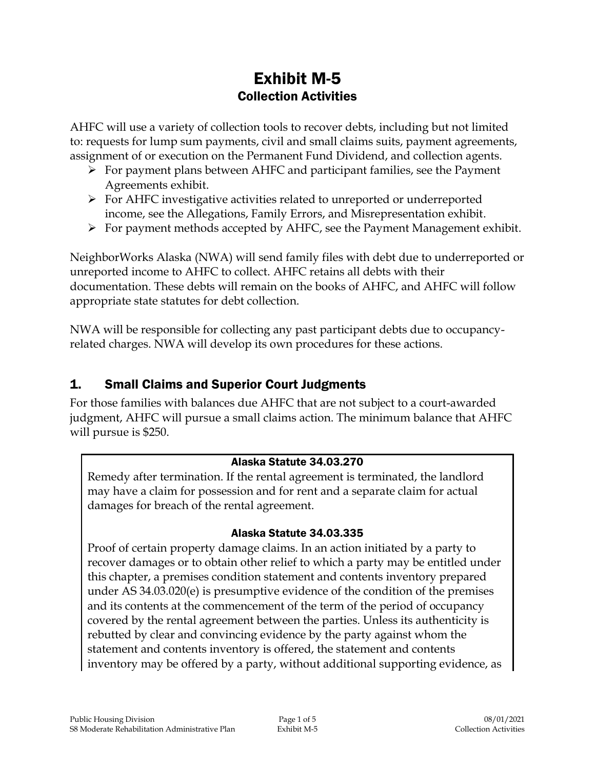# Exhibit M-5 Collection Activities

AHFC will use a variety of collection tools to recover debts, including but not limited to: requests for lump sum payments, civil and small claims suits, payment agreements, assignment of or execution on the Permanent Fund Dividend, and collection agents.

- $\triangleright$  For payment plans between AHFC and participant families, see the Payment Agreements exhibit.
- For AHFC investigative activities related to unreported or underreported income, see the Allegations, Family Errors, and Misrepresentation exhibit.
- $\triangleright$  For payment methods accepted by AHFC, see the Payment Management exhibit.

NeighborWorks Alaska (NWA) will send family files with debt due to underreported or unreported income to AHFC to collect. AHFC retains all debts with their documentation. These debts will remain on the books of AHFC, and AHFC will follow appropriate state statutes for debt collection.

NWA will be responsible for collecting any past participant debts due to occupancyrelated charges. NWA will develop its own procedures for these actions.

## 1. Small Claims and Superior Court Judgments

For those families with balances due AHFC that are not subject to a court-awarded judgment, AHFC will pursue a small claims action. The minimum balance that AHFC will pursue is \$250.

#### Alaska Statute 34.03.270

Remedy after termination. If the rental agreement is terminated, the landlord may have a claim for possession and for rent and a separate claim for actual damages for breach of the rental agreement.

#### Alaska Statute 34.03.335

Proof of certain property damage claims. In an action initiated by a party to recover damages or to obtain other relief to which a party may be entitled under this chapter, a premises condition statement and contents inventory prepared under AS 34.03.020(e) is presumptive evidence of the condition of the premises and its contents at the commencement of the term of the period of occupancy covered by the rental agreement between the parties. Unless its authenticity is rebutted by clear and convincing evidence by the party against whom the statement and contents inventory is offered, the statement and contents inventory may be offered by a party, without additional supporting evidence, as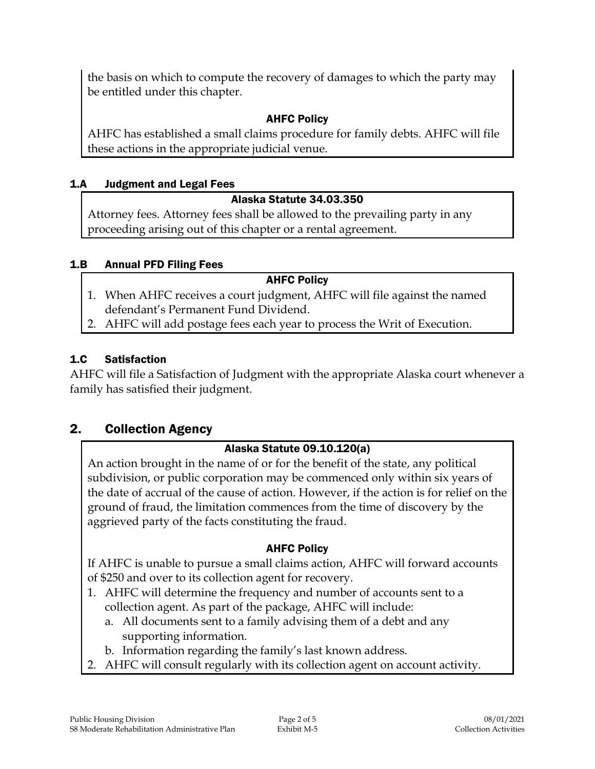the basis on which to compute the recovery of damages to which the party may be entitled under this chapter.

## AHFC Policy

AHFC has established a small claims procedure for family debts. AHFC will file these actions in the appropriate judicial venue.

## 1.A Judgment and Legal Fees

#### Alaska Statute 34.03.350

Attorney fees. Attorney fees shall be allowed to the prevailing party in any proceeding arising out of this chapter or a rental agreement.

#### 1.B Annual PFD Filing Fees

#### AHFC Policy

- 1. When AHFC receives a court judgment, AHFC will file against the named defendant's Permanent Fund Dividend.
- 2. AHFC will add postage fees each year to process the Writ of Execution.

## 1.C Satisfaction

AHFC will file a Satisfaction of Judgment with the appropriate Alaska court whenever a family has satisfied their judgment.

## 2. Collection Agency

## Alaska Statute 09.10.120(a)

An action brought in the name of or for the benefit of the state, any political subdivision, or public corporation may be commenced only within six years of the date of accrual of the cause of action. However, if the action is for relief on the ground of fraud, the limitation commences from the time of discovery by the aggrieved party of the facts constituting the fraud.

## AHFC Policy

If AHFC is unable to pursue a small claims action, AHFC will forward accounts of \$250 and over to its collection agent for recovery.

- 1. AHFC will determine the frequency and number of accounts sent to a collection agent. As part of the package, AHFC will include:
	- a. All documents sent to a family advising them of a debt and any supporting information.
	- b. Information regarding the family's last known address.
- 2. AHFC will consult regularly with its collection agent on account activity.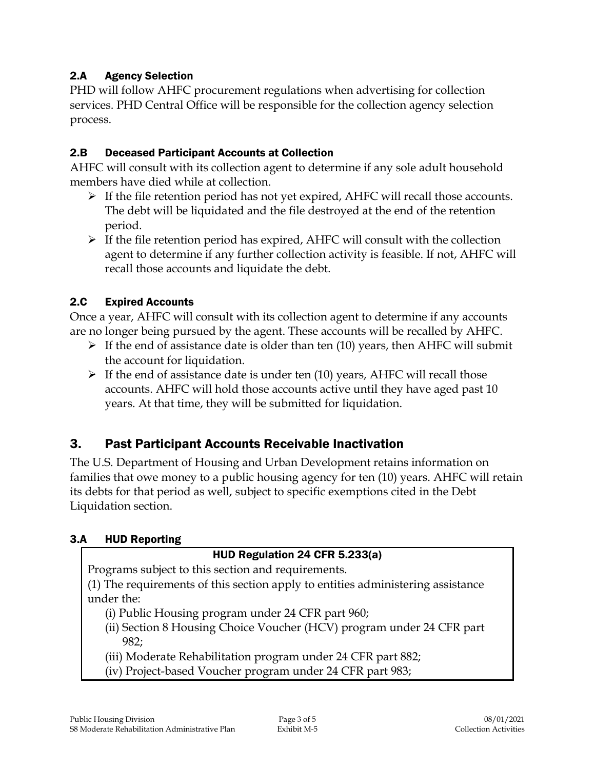## 2.A Agency Selection

PHD will follow AHFC procurement regulations when advertising for collection services. PHD Central Office will be responsible for the collection agency selection process.

#### 2.B Deceased Participant Accounts at Collection

AHFC will consult with its collection agent to determine if any sole adult household members have died while at collection.

- $\triangleright$  If the file retention period has not yet expired, AHFC will recall those accounts. The debt will be liquidated and the file destroyed at the end of the retention period.
- $\triangleright$  If the file retention period has expired, AHFC will consult with the collection agent to determine if any further collection activity is feasible. If not, AHFC will recall those accounts and liquidate the debt.

## 2.C Expired Accounts

Once a year, AHFC will consult with its collection agent to determine if any accounts are no longer being pursued by the agent. These accounts will be recalled by AHFC.

- $\triangleright$  If the end of assistance date is older than ten (10) years, then AHFC will submit the account for liquidation.
- $\triangleright$  If the end of assistance date is under ten (10) years, AHFC will recall those accounts. AHFC will hold those accounts active until they have aged past 10 years. At that time, they will be submitted for liquidation.

## 3. Past Participant Accounts Receivable Inactivation

The U.S. Department of Housing and Urban Development retains information on families that owe money to a public housing agency for ten (10) years. AHFC will retain its debts for that period as well, subject to specific exemptions cited in the Debt Liquidation section.

#### 3.A HUD Reporting

#### HUD Regulation 24 CFR 5.233(a)

Programs subject to this section and requirements.

(1) The requirements of this section apply to entities administering assistance under the:

- (i) Public Housing program under 24 CFR part 960;
- (ii) Section 8 Housing Choice Voucher (HCV) program under 24 CFR part 982;
- (iii) Moderate Rehabilitation program under 24 CFR part 882;
- (iv) Project-based Voucher program under 24 CFR part 983;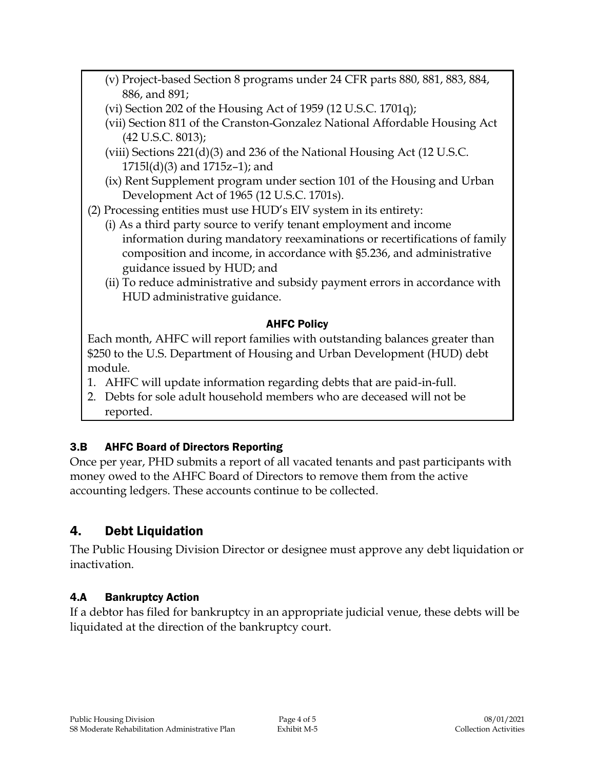- (v) Project-based Section 8 programs under 24 CFR parts 880, 881, 883, 884, 886, and 891;
- (vi) Section 202 of the Housing Act of 1959 (12 U.S.C. 1701q);
- (vii) Section 811 of the Cranston-Gonzalez National Affordable Housing Act (42 U.S.C. 8013);
- (viii) Sections 221(d)(3) and 236 of the National Housing Act (12 U.S.C. 1715l(d)(3) and 1715z–1); and
- (ix) Rent Supplement program under section 101 of the Housing and Urban Development Act of 1965 (12 U.S.C. 1701s).

(2) Processing entities must use HUD's EIV system in its entirety:

- (i) As a third party source to verify tenant employment and income information during mandatory reexaminations or recertifications of family composition and income, in accordance with §5.236, and administrative guidance issued by HUD; and
- (ii) To reduce administrative and subsidy payment errors in accordance with HUD administrative guidance.

## AHFC Policy

Each month, AHFC will report families with outstanding balances greater than \$250 to the U.S. Department of Housing and Urban Development (HUD) debt module.

- 1. AHFC will update information regarding debts that are paid-in-full.
- 2. Debts for sole adult household members who are deceased will not be reported.

## 3.B AHFC Board of Directors Reporting

Once per year, PHD submits a report of all vacated tenants and past participants with money owed to the AHFC Board of Directors to remove them from the active accounting ledgers. These accounts continue to be collected.

## 4. Debt Liquidation

The Public Housing Division Director or designee must approve any debt liquidation or inactivation.

## 4.A Bankruptcy Action

If a debtor has filed for bankruptcy in an appropriate judicial venue, these debts will be liquidated at the direction of the bankruptcy court.